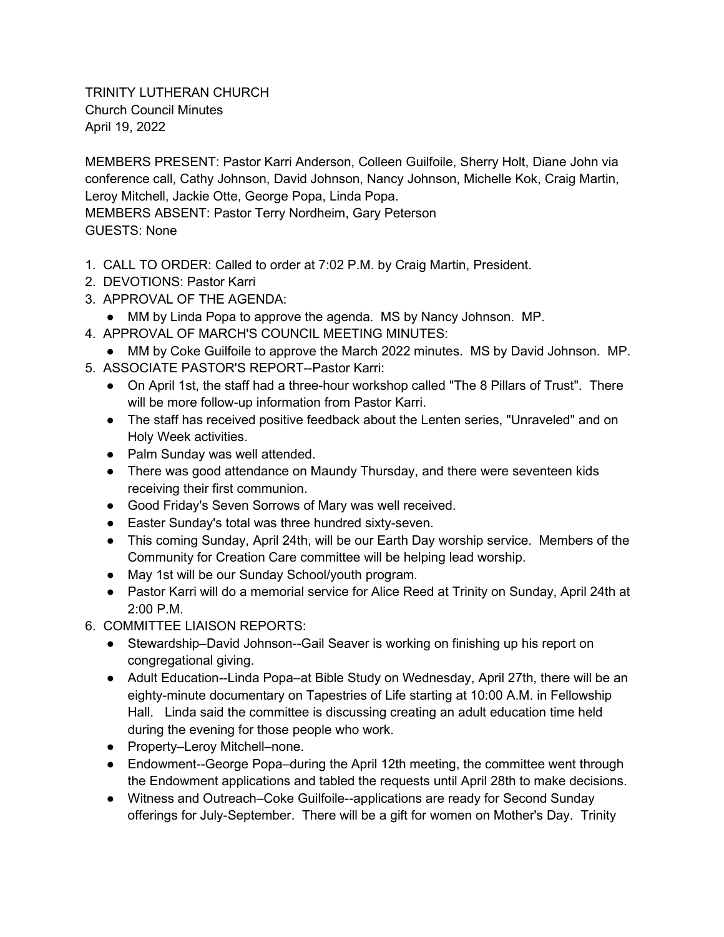TRINITY LUTHERAN CHURCH Church Council Minutes April 19, 2022

MEMBERS PRESENT: Pastor Karri Anderson, Colleen Guilfoile, Sherry Holt, Diane John via conference call, Cathy Johnson, David Johnson, Nancy Johnson, Michelle Kok, Craig Martin, Leroy Mitchell, Jackie Otte, George Popa, Linda Popa.

MEMBERS ABSENT: Pastor Terry Nordheim, Gary Peterson GUESTS: None

- 1. CALL TO ORDER: Called to order at 7:02 P.M. by Craig Martin, President.
- 2. DEVOTIONS: Pastor Karri
- 3. APPROVAL OF THE AGENDA:
	- MM by Linda Popa to approve the agenda. MS by Nancy Johnson. MP.
- 4. APPROVAL OF MARCH'S COUNCIL MEETING MINUTES:
- MM by Coke Guilfoile to approve the March 2022 minutes. MS by David Johnson. MP. 5. ASSOCIATE PASTOR'S REPORT--Pastor Karri:
	- On April 1st, the staff had a three-hour workshop called "The 8 Pillars of Trust". There will be more follow-up information from Pastor Karri.
	- The staff has received positive feedback about the Lenten series, "Unraveled" and on Holy Week activities.
	- Palm Sunday was well attended.
	- There was good attendance on Maundy Thursday, and there were seventeen kids receiving their first communion.
	- Good Friday's Seven Sorrows of Mary was well received.
	- Easter Sunday's total was three hundred sixty-seven.
	- This coming Sunday, April 24th, will be our Earth Day worship service. Members of the Community for Creation Care committee will be helping lead worship.
	- May 1st will be our Sunday School/youth program.
	- Pastor Karri will do a memorial service for Alice Reed at Trinity on Sunday, April 24th at 2:00 P.M.
- 6. COMMITTEE LIAISON REPORTS:
	- Stewardship–David Johnson--Gail Seaver is working on finishing up his report on congregational giving.
	- Adult Education--Linda Popa–at Bible Study on Wednesday, April 27th, there will be an eighty-minute documentary on Tapestries of Life starting at 10:00 A.M. in Fellowship Hall. Linda said the committee is discussing creating an adult education time held during the evening for those people who work.
	- Property–Leroy Mitchell–none.
	- Endowment--George Popa–during the April 12th meeting, the committee went through the Endowment applications and tabled the requests until April 28th to make decisions.
	- Witness and Outreach–Coke Guilfoile--applications are ready for Second Sunday offerings for July-September. There will be a gift for women on Mother's Day. Trinity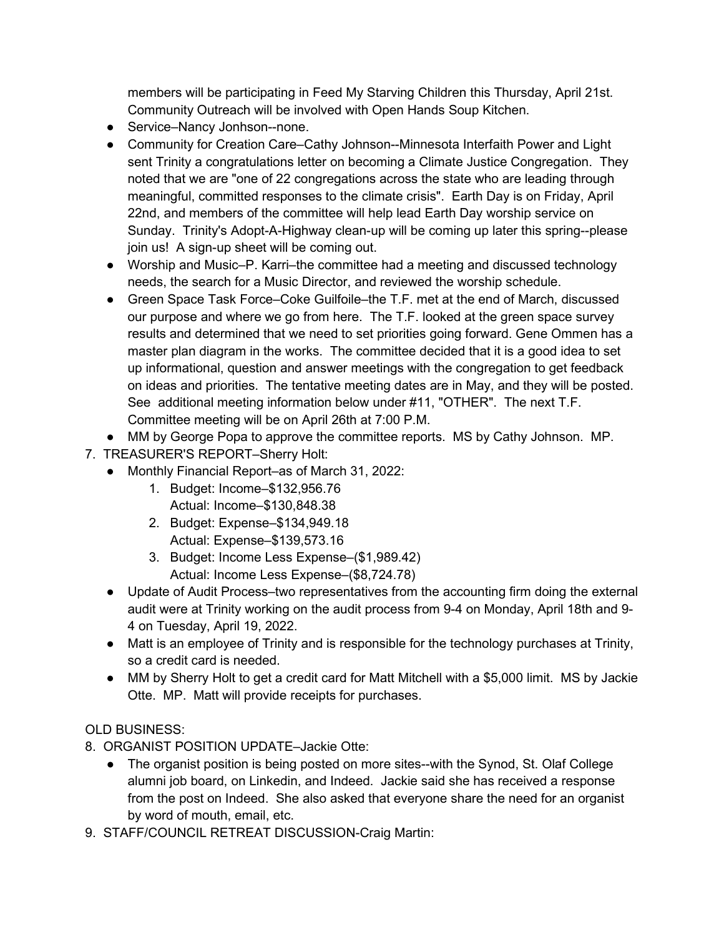members will be participating in Feed My Starving Children this Thursday, April 21st. Community Outreach will be involved with Open Hands Soup Kitchen.

- Service–Nancy Jonhson--none.
- Community for Creation Care–Cathy Johnson--Minnesota Interfaith Power and Light sent Trinity a congratulations letter on becoming a Climate Justice Congregation. They noted that we are "one of 22 congregations across the state who are leading through meaningful, committed responses to the climate crisis". Earth Day is on Friday, April 22nd, and members of the committee will help lead Earth Day worship service on Sunday. Trinity's Adopt-A-Highway clean-up will be coming up later this spring--please join us! A sign-up sheet will be coming out.
- Worship and Music–P. Karri–the committee had a meeting and discussed technology needs, the search for a Music Director, and reviewed the worship schedule.
- Green Space Task Force–Coke Guilfoile–the T.F. met at the end of March, discussed our purpose and where we go from here. The T.F. looked at the green space survey results and determined that we need to set priorities going forward. Gene Ommen has a master plan diagram in the works. The committee decided that it is a good idea to set up informational, question and answer meetings with the congregation to get feedback on ideas and priorities. The tentative meeting dates are in May, and they will be posted. See additional meeting information below under #11, "OTHER". The next T.F. Committee meeting will be on April 26th at 7:00 P.M.
- MM by George Popa to approve the committee reports. MS by Cathy Johnson. MP.
- 7. TREASURER'S REPORT–Sherry Holt:
	- Monthly Financial Report–as of March 31, 2022:
		- 1. Budget: Income–\$132,956.76 Actual: Income–\$130,848.38
		- 2. Budget: Expense–\$134,949.18 Actual: Expense–\$139,573.16
		- 3. Budget: Income Less Expense–(\$1,989.42) Actual: Income Less Expense–(\$8,724.78)
	- Update of Audit Process–two representatives from the accounting firm doing the external audit were at Trinity working on the audit process from 9-4 on Monday, April 18th and 9- 4 on Tuesday, April 19, 2022.
	- Matt is an employee of Trinity and is responsible for the technology purchases at Trinity, so a credit card is needed.
	- MM by Sherry Holt to get a credit card for Matt Mitchell with a \$5,000 limit. MS by Jackie Otte. MP. Matt will provide receipts for purchases.

## OLD BUSINESS:

- 8. ORGANIST POSITION UPDATE–Jackie Otte:
	- The organist position is being posted on more sites--with the Synod, St. Olaf College alumni job board, on Linkedin, and Indeed. Jackie said she has received a response from the post on Indeed. She also asked that everyone share the need for an organist by word of mouth, email, etc.
- 9. STAFF/COUNCIL RETREAT DISCUSSION-Craig Martin: